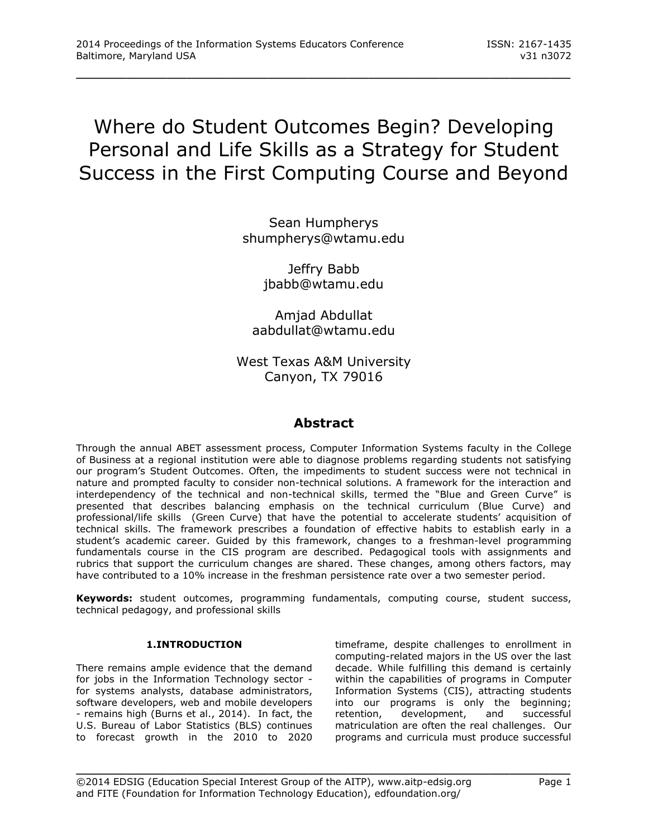# Where do Student Outcomes Begin? Developing Personal and Life Skills as a Strategy for Student Success in the First Computing Course and Beyond

\_\_\_\_\_\_\_\_\_\_\_\_\_\_\_\_\_\_\_\_\_\_\_\_\_\_\_\_\_\_\_\_\_\_\_\_\_\_\_\_\_\_\_\_\_\_\_\_\_

Sean Humpherys [shumpherys@wtamu.edu](mailto:shumpherys@wtamu.edu)

> Jeffry Babb [jbabb@wtamu.edu](mailto:jbabb@wtamu.edu)

Amjad Abdullat [aabdullat@wtamu.edu](mailto:aabdullat@wtamu.edu)

West Texas A&M University Canyon, TX 79016

## **Abstract**

Through the annual ABET assessment process, Computer Information Systems faculty in the College of Business at a regional institution were able to diagnose problems regarding students not satisfying our program's Student Outcomes. Often, the impediments to student success were not technical in nature and prompted faculty to consider non-technical solutions. A framework for the interaction and interdependency of the technical and non-technical skills, termed the "Blue and Green Curve" is presented that describes balancing emphasis on the technical curriculum (Blue Curve) and professional/life skills (Green Curve) that have the potential to accelerate students' acquisition of technical skills. The framework prescribes a foundation of effective habits to establish early in a student's academic career. Guided by this framework, changes to a freshman-level programming fundamentals course in the CIS program are described. Pedagogical tools with assignments and rubrics that support the curriculum changes are shared. These changes, among others factors, may have contributed to a 10% increase in the freshman persistence rate over a two semester period.

**Keywords:** student outcomes, programming fundamentals, computing course, student success, technical pedagogy, and professional skills

\_\_\_\_\_\_\_\_\_\_\_\_\_\_\_\_\_\_\_\_\_\_\_\_\_\_\_\_\_\_\_\_\_\_\_\_\_\_\_\_\_\_\_\_\_\_\_\_\_

## **1.INTRODUCTION**

There remains ample evidence that the demand for jobs in the Information Technology sector for systems analysts, database administrators, software developers, web and mobile developers - remains high (Burns et al., 2014). In fact, the U.S. Bureau of Labor Statistics (BLS) continues to forecast growth in the 2010 to 2020 timeframe, despite challenges to enrollment in computing-related majors in the US over the last decade. While fulfilling this demand is certainly within the capabilities of programs in Computer Information Systems (CIS), attracting students into our programs is only the beginning; retention, development, and successful matriculation are often the real challenges. Our programs and curricula must produce successful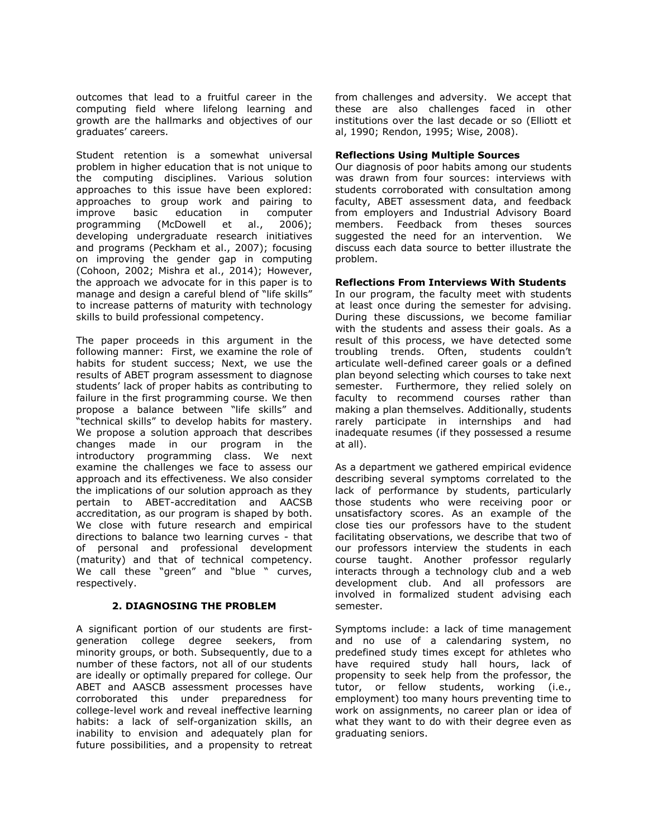outcomes that lead to a fruitful career in the computing field where lifelong learning and growth are the hallmarks and objectives of our graduates' careers.

Student retention is a somewhat universal problem in higher education that is not unique to the computing disciplines. Various solution approaches to this issue have been explored: approaches to group work and pairing to improve basic education in computer programming (McDowell et al., 2006); developing undergraduate research initiatives and programs (Peckham et al., 2007); focusing on improving the gender gap in computing (Cohoon, 2002; Mishra et al., 2014); However, the approach we advocate for in this paper is to manage and design a careful blend of "life skills" to increase patterns of maturity with technology skills to build professional competency.

The paper proceeds in this argument in the following manner: First, we examine the role of habits for student success; Next, we use the results of ABET program assessment to diagnose students' lack of proper habits as contributing to failure in the first programming course. We then propose a balance between "life skills" and "technical skills" to develop habits for mastery. We propose a solution approach that describes changes made in our program in the introductory programming class. We next examine the challenges we face to assess our approach and its effectiveness. We also consider the implications of our solution approach as they pertain to ABET-accreditation and AACSB accreditation, as our program is shaped by both. We close with future research and empirical directions to balance two learning curves - that of personal and professional development (maturity) and that of technical competency. We call these "green" and "blue " curves, respectively.

## **2. DIAGNOSING THE PROBLEM**

A significant portion of our students are firstgeneration college degree seekers, from minority groups, or both. Subsequently, due to a number of these factors, not all of our students are ideally or optimally prepared for college. Our ABET and AASCB assessment processes have corroborated this under preparedness for college-level work and reveal ineffective learning habits: a lack of self-organization skills, an inability to envision and adequately plan for future possibilities, and a propensity to retreat from challenges and adversity. We accept that these are also challenges faced in other institutions over the last decade or so (Elliott et al, 1990; Rendon, 1995; Wise, 2008).

## **Reflections Using Multiple Sources**

Our diagnosis of poor habits among our students was drawn from four sources: interviews with students corroborated with consultation among faculty, ABET assessment data, and feedback from employers and Industrial Advisory Board members. Feedback from theses sources suggested the need for an intervention. We discuss each data source to better illustrate the problem.

## **Reflections From Interviews With Students**

In our program, the faculty meet with students at least once during the semester for advising. During these discussions, we become familiar with the students and assess their goals. As a result of this process, we have detected some troubling trends. Often, students couldn't articulate well-defined career goals or a defined plan beyond selecting which courses to take next semester. Furthermore, they relied solely on faculty to recommend courses rather than making a plan themselves. Additionally, students rarely participate in internships and had inadequate resumes (if they possessed a resume at all).

As a department we gathered empirical evidence describing several symptoms correlated to the lack of performance by students, particularly those students who were receiving poor or unsatisfactory scores. As an example of the close ties our professors have to the student facilitating observations, we describe that two of our professors interview the students in each course taught. Another professor regularly interacts through a technology club and a web development club. And all professors are involved in formalized student advising each semester.

Symptoms include: a lack of time management and no use of a calendaring system, no predefined study times except for athletes who have required study hall hours, lack of propensity to seek help from the professor, the tutor, or fellow students, working (i.e., employment) too many hours preventing time to work on assignments, no career plan or idea of what they want to do with their degree even as graduating seniors.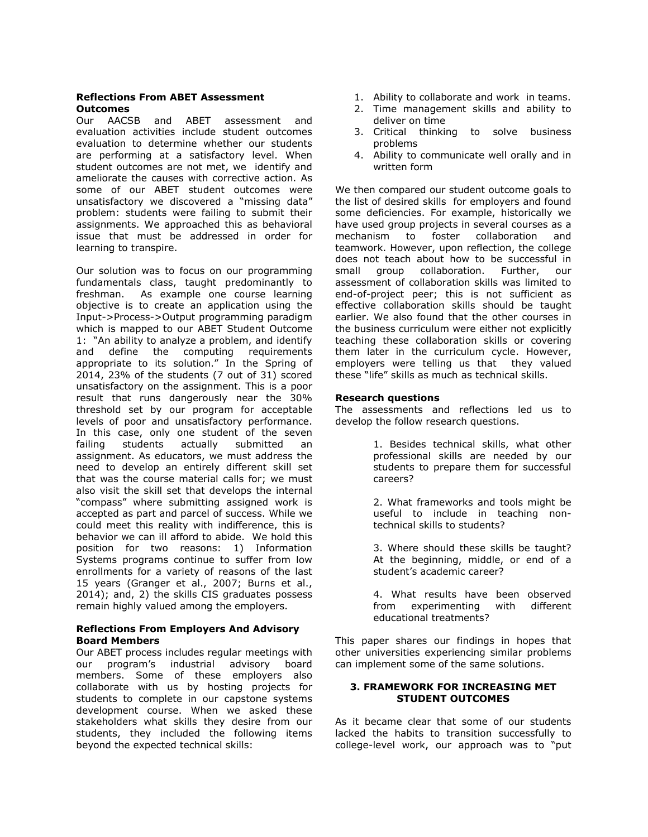## **Reflections From ABET Assessment Outcomes**

Our AACSB and ABET assessment and evaluation activities include student outcomes evaluation to determine whether our students are performing at a satisfactory level. When student outcomes are not met, we identify and ameliorate the causes with corrective action. As some of our ABET student outcomes were unsatisfactory we discovered a "missing data" problem: students were failing to submit their assignments. We approached this as behavioral issue that must be addressed in order for learning to transpire.

Our solution was to focus on our programming fundamentals class, taught predominantly to freshman. As example one course learning objective is to create an application using the Input->Process->Output programming paradigm which is mapped to our ABET Student Outcome 1: "An ability to analyze a problem, and identify and define the computing requirements appropriate to its solution." In the Spring of 2014, 23% of the students (7 out of 31) scored unsatisfactory on the assignment. This is a poor result that runs dangerously near the 30% threshold set by our program for acceptable levels of poor and unsatisfactory performance. In this case, only one student of the seven failing students actually submitted an assignment. As educators, we must address the need to develop an entirely different skill set that was the course material calls for; we must also visit the skill set that develops the internal "compass" where submitting assigned work is accepted as part and parcel of success. While we could meet this reality with indifference, this is behavior we can ill afford to abide. We hold this position for two reasons: 1) Information Systems programs continue to suffer from low enrollments for a variety of reasons of the last 15 years (Granger et al., 2007; Burns et al., 2014); and, 2) the skills CIS graduates possess remain highly valued among the employers.

### **Reflections From Employers And Advisory Board Members**

Our ABET process includes regular meetings with our program's industrial advisory board members. Some of these employers also collaborate with us by hosting projects for students to complete in our capstone systems development course. When we asked these stakeholders what skills they desire from our students, they included the following items beyond the expected technical skills:

- 1. Ability to collaborate and work in teams.
- 2. Time management skills and ability to deliver on time
- 3. Critical thinking to solve business problems
- 4. Ability to communicate well orally and in written form

We then compared our student outcome goals to the list of desired skills for employers and found some deficiencies. For example, historically we have used group projects in several courses as a mechanism to foster collaboration and teamwork. However, upon reflection, the college does not teach about how to be successful in small group collaboration. Further, our assessment of collaboration skills was limited to end-of-project peer; this is not sufficient as effective collaboration skills should be taught earlier. We also found that the other courses in the business curriculum were either not explicitly teaching these collaboration skills or covering them later in the curriculum cycle. However, employers were telling us that they valued these "life" skills as much as technical skills.

## **Research questions**

The assessments and reflections led us to develop the follow research questions.

> 1. Besides technical skills, what other professional skills are needed by our students to prepare them for successful careers?

> 2. What frameworks and tools might be useful to include in teaching nontechnical skills to students?

> 3. Where should these skills be taught? At the beginning, middle, or end of a student's academic career?

> 4. What results have been observed from experimenting with different educational treatments?

This paper shares our findings in hopes that other universities experiencing similar problems can implement some of the same solutions.

## **3. FRAMEWORK FOR INCREASING MET STUDENT OUTCOMES**

As it became clear that some of our students lacked the habits to transition successfully to college-level work, our approach was to "put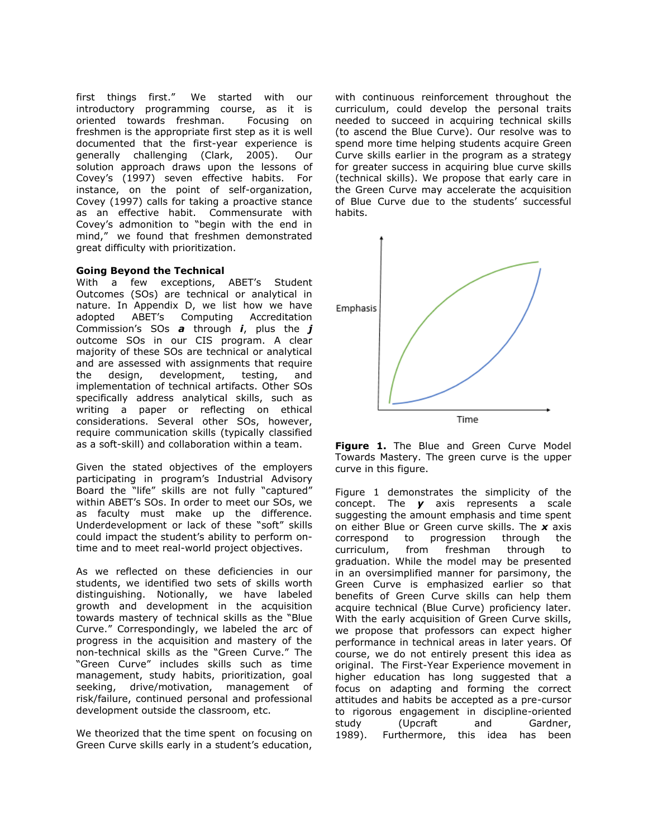first things first." We started with our introductory programming course, as it is oriented towards freshman. Focusing on freshmen is the appropriate first step as it is well documented that the first-year experience is generally challenging (Clark, 2005). Our solution approach draws upon the lessons of Covey's (1997) seven effective habits. For instance, on the point of self-organization, Covey (1997) calls for taking a proactive stance as an effective habit. Commensurate with Covey's admonition to "begin with the end in mind," we found that freshmen demonstrated great difficulty with prioritization.

### **Going Beyond the Technical**

With a few exceptions, ABET's Student Outcomes (SOs) are technical or analytical in nature. In Appendix D, we list how we have adopted ABET's Computing Accreditation Commission's SOs *a* through *i*, plus the *j* outcome SOs in our CIS program. A clear majority of these SOs are technical or analytical and are assessed with assignments that require the design, development, testing, and implementation of technical artifacts. Other SOs specifically address analytical skills, such as writing a paper or reflecting on ethical considerations. Several other SOs, however, require communication skills (typically classified as a soft-skill) and collaboration within a team.

Given the stated objectives of the employers participating in program's Industrial Advisory Board the "life" skills are not fully "captured" within ABET's SOs. In order to meet our SOs, we as faculty must make up the difference. Underdevelopment or lack of these "soft" skills could impact the student's ability to perform ontime and to meet real-world project objectives.

As we reflected on these deficiencies in our students, we identified two sets of skills worth distinguishing. Notionally, we have labeled growth and development in the acquisition towards mastery of technical skills as the "Blue Curve." Correspondingly, we labeled the arc of progress in the acquisition and mastery of the non-technical skills as the "Green Curve." The "Green Curve" includes skills such as time management, study habits, prioritization, goal seeking, drive/motivation, management of risk/failure, continued personal and professional development outside the classroom, etc.

We theorized that the time spent on focusing on Green Curve skills early in a student's education,

with continuous reinforcement throughout the curriculum, could develop the personal traits needed to succeed in acquiring technical skills (to ascend the Blue Curve). Our resolve was to spend more time helping students acquire Green Curve skills earlier in the program as a strategy for greater success in acquiring blue curve skills (technical skills). We propose that early care in the Green Curve may accelerate the acquisition of Blue Curve due to the students' successful habits.



| <b>Figure 1.</b> The Blue and Green Curve Model |  |  |  |  |
|-------------------------------------------------|--|--|--|--|
| Towards Mastery. The green curve is the upper   |  |  |  |  |
| curve in this figure.                           |  |  |  |  |

Figure 1 demonstrates the simplicity of the concept. The *y* axis represents a scale suggesting the amount emphasis and time spent on either Blue or Green curve skills. The *x* axis correspond to progression through the curriculum, from freshman through to graduation. While the model may be presented in an oversimplified manner for parsimony, the Green Curve is emphasized earlier so that benefits of Green Curve skills can help them acquire technical (Blue Curve) proficiency later. With the early acquisition of Green Curve skills, we propose that professors can expect higher performance in technical areas in later years. Of course, we do not entirely present this idea as original. The First-Year Experience movement in higher education has long suggested that a focus on adapting and forming the correct attitudes and habits be accepted as a pre-cursor to rigorous engagement in discipline-oriented study (Upcraft and Gardner, 1989). Furthermore, this idea has been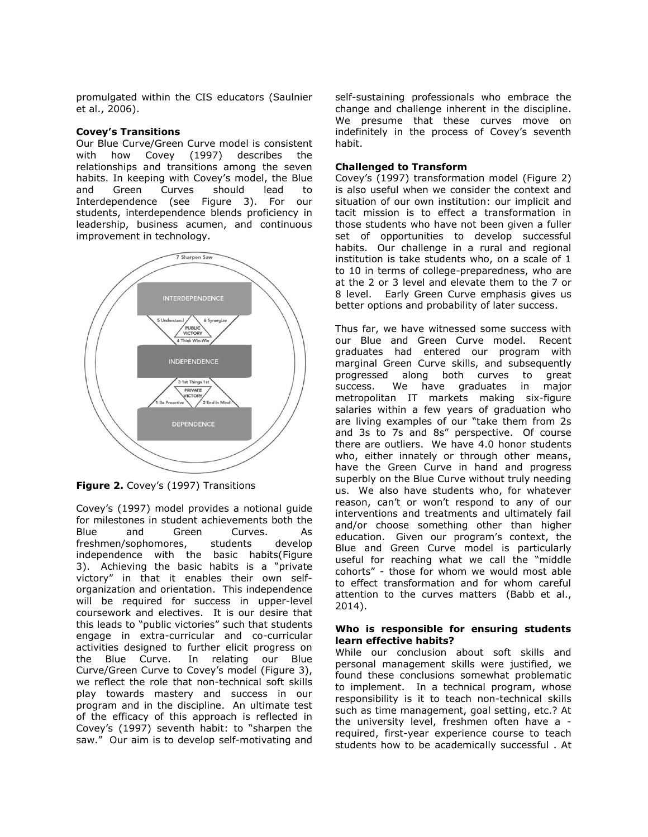promulgated within the CIS educators (Saulnier et al., 2006).

#### **Covey's Transitions**

Our Blue Curve/Green Curve model is consistent with how Covey (1997) describes the relationships and transitions among the seven habits. In keeping with Covey's model, the Blue and Green Curves should lead to Interdependence (see Figure 3). For our students, interdependence blends proficiency in leadership, business acumen, and continuous improvement in technology.



**Figure 2.** Covey's (1997) Transitions

Covey's (1997) model provides a notional guide for milestones in student achievements both the Blue and Green Curves. As freshmen/sophomores, students develop independence with the basic habits(Figure 3). Achieving the basic habits is a "private victory" in that it enables their own selforganization and orientation. This independence will be required for success in upper-level coursework and electives. It is our desire that this leads to "public victories" such that students engage in extra-curricular and co-curricular activities designed to further elicit progress on the Blue Curve. In relating our Blue Curve/Green Curve to Covey's model (Figure 3), we reflect the role that non-technical soft skills play towards mastery and success in our program and in the discipline. An ultimate test of the efficacy of this approach is reflected in Covey's (1997) seventh habit: to "sharpen the saw." Our aim is to develop self-motivating and self-sustaining professionals who embrace the change and challenge inherent in the discipline. We presume that these curves move on indefinitely in the process of Covey's seventh habit.

### **Challenged to Transform**

Covey's (1997) transformation model (Figure 2) is also useful when we consider the context and situation of our own institution: our implicit and tacit mission is to effect a transformation in those students who have not been given a fuller set of opportunities to develop successful habits. Our challenge in a rural and regional institution is take students who, on a scale of 1 to 10 in terms of college-preparedness, who are at the 2 or 3 level and elevate them to the 7 or 8 level. Early Green Curve emphasis gives us better options and probability of later success.

Thus far, we have witnessed some success with our Blue and Green Curve model. Recent graduates had entered our program with marginal Green Curve skills, and subsequently progressed along both curves to great success. We have graduates in major metropolitan IT markets making six-figure salaries within a few years of graduation who are living examples of our "take them from 2s and 3s to 7s and 8s" perspective. Of course there are outliers. We have 4.0 honor students who, either innately or through other means, have the Green Curve in hand and progress superbly on the Blue Curve without truly needing us. We also have students who, for whatever reason, can't or won't respond to any of our interventions and treatments and ultimately fail and/or choose something other than higher education. Given our program's context, the Blue and Green Curve model is particularly useful for reaching what we call the "middle cohorts" - those for whom we would most able to effect transformation and for whom careful attention to the curves matters (Babb et al., 2014).

#### **Who is responsible for ensuring students learn effective habits?**

While our conclusion about soft skills and personal management skills were justified, we found these conclusions somewhat problematic to implement. In a technical program, whose responsibility is it to teach non-technical skills such as time management, goal setting, etc.? At the university level, freshmen often have a required, first-year experience course to teach students how to be academically successful . At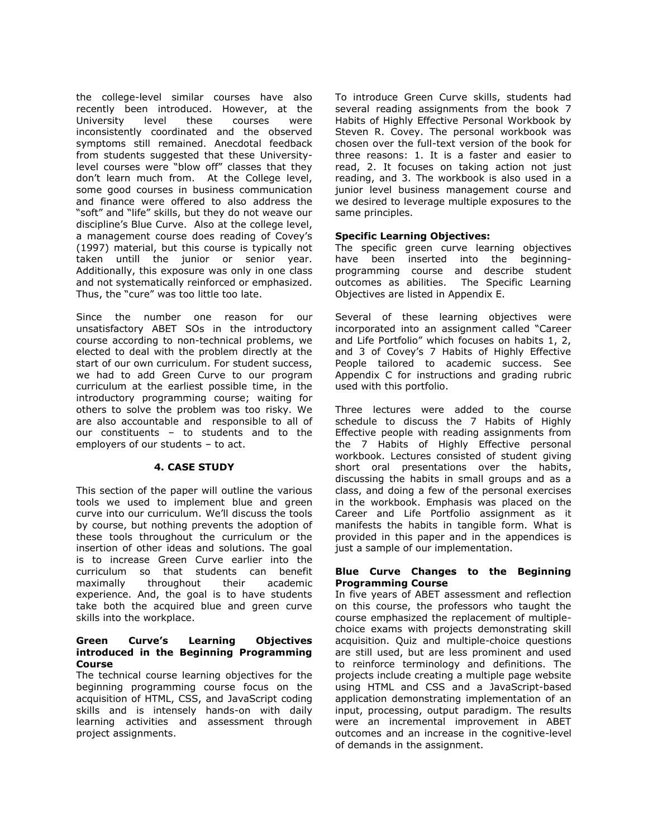the college-level similar courses have also recently been introduced. However, at the University level these courses were inconsistently coordinated and the observed symptoms still remained. Anecdotal feedback from students suggested that these Universitylevel courses were "blow off" classes that they don't learn much from. At the College level, some good courses in business communication and finance were offered to also address the "soft" and "life" skills, but they do not weave our discipline's Blue Curve. Also at the college level, a management course does reading of Covey's (1997) material, but this course is typically not taken untill the junior or senior year. Additionally, this exposure was only in one class and not systematically reinforced or emphasized. Thus, the "cure" was too little too late.

Since the number one reason for our unsatisfactory ABET SOs in the introductory course according to non-technical problems, we elected to deal with the problem directly at the start of our own curriculum. For student success, we had to add Green Curve to our program curriculum at the earliest possible time, in the introductory programming course; waiting for others to solve the problem was too risky. We are also accountable and responsible to all of our constituents – to students and to the employers of our students – to act.

## **4. CASE STUDY**

This section of the paper will outline the various tools we used to implement blue and green curve into our curriculum. We'll discuss the tools by course, but nothing prevents the adoption of these tools throughout the curriculum or the insertion of other ideas and solutions. The goal is to increase Green Curve earlier into the curriculum so that students can benefit maximally throughout their academic experience. And, the goal is to have students take both the acquired blue and green curve skills into the workplace.

#### **Green Curve's Learning Objectives introduced in the Beginning Programming Course**

The technical course learning objectives for the beginning programming course focus on the acquisition of HTML, CSS, and JavaScript coding skills and is intensely hands-on with daily learning activities and assessment through project assignments.

To introduce Green Curve skills, students had several reading assignments from the book 7 Habits of Highly Effective Personal Workbook by Steven R. Covey. The personal workbook was chosen over the full-text version of the book for three reasons: 1. It is a faster and easier to read, 2. It focuses on taking action not just reading, and 3. The workbook is also used in a junior level business management course and we desired to leverage multiple exposures to the same principles.

## **Specific Learning Objectives:**

The specific green curve learning objectives have been inserted into the beginningprogramming course and describe student outcomes as abilities. The Specific Learning Objectives are listed in Appendix E.

Several of these learning objectives were incorporated into an assignment called "Career and Life Portfolio" which focuses on habits 1, 2, and 3 of Covey's 7 Habits of Highly Effective People tailored to academic success. See Appendix C for instructions and grading rubric used with this portfolio.

Three lectures were added to the course schedule to discuss the 7 Habits of Highly Effective people with reading assignments from the 7 Habits of Highly Effective personal workbook. Lectures consisted of student giving short oral presentations over the habits, discussing the habits in small groups and as a class, and doing a few of the personal exercises in the workbook. Emphasis was placed on the Career and Life Portfolio assignment as it manifests the habits in tangible form. What is provided in this paper and in the appendices is just a sample of our implementation.

#### **Blue Curve Changes to the Beginning Programming Course**

In five years of ABET assessment and reflection on this course, the professors who taught the course emphasized the replacement of multiplechoice exams with projects demonstrating skill acquisition. Quiz and multiple-choice questions are still used, but are less prominent and used to reinforce terminology and definitions. The projects include creating a multiple page website using HTML and CSS and a JavaScript-based application demonstrating implementation of an input, processing, output paradigm. The results were an incremental improvement in ABET outcomes and an increase in the cognitive-level of demands in the assignment.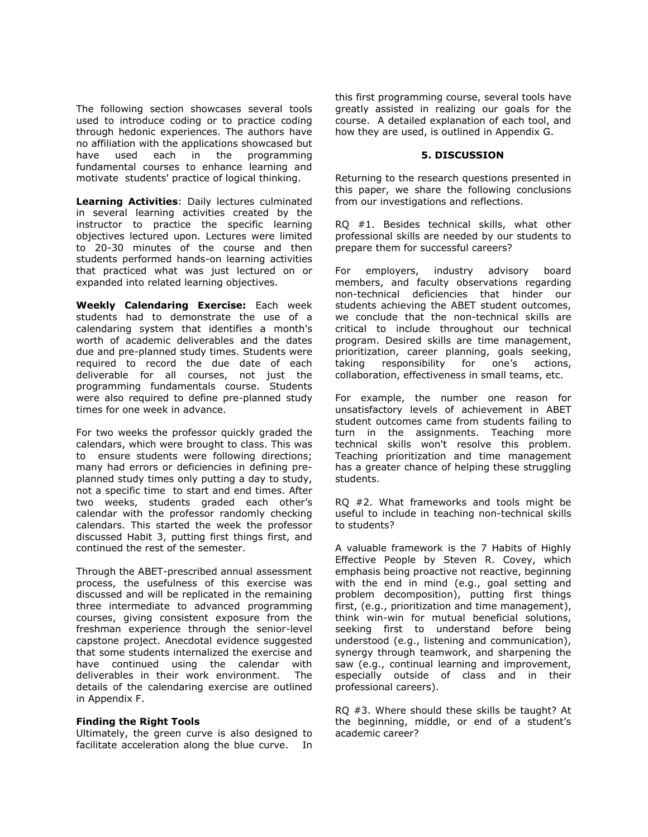The following section showcases several tools used to introduce coding or to practice coding through hedonic experiences. The authors have no affiliation with the applications showcased but have used each in the programming fundamental courses to enhance learning and motivate students' practice of logical thinking.

**Learning Activities**: Daily lectures culminated in several learning activities created by the instructor to practice the specific learning objectives lectured upon. Lectures were limited to 20-30 minutes of the course and then students performed hands-on learning activities that practiced what was just lectured on or expanded into related learning objectives.

**Weekly Calendaring Exercise:** Each week students had to demonstrate the use of a calendaring system that identifies a month's worth of academic deliverables and the dates due and pre-planned study times. Students were required to record the due date of each deliverable for all courses, not just the programming fundamentals course. Students were also required to define pre-planned study times for one week in advance.

For two weeks the professor quickly graded the calendars, which were brought to class. This was to ensure students were following directions; many had errors or deficiencies in defining preplanned study times only putting a day to study, not a specific time to start and end times. After two weeks, students graded each other's calendar with the professor randomly checking calendars. This started the week the professor discussed Habit 3, putting first things first, and continued the rest of the semester.

Through the ABET-prescribed annual assessment process, the usefulness of this exercise was discussed and will be replicated in the remaining three intermediate to advanced programming courses, giving consistent exposure from the freshman experience through the senior-level capstone project. Anecdotal evidence suggested that some students internalized the exercise and have continued using the calendar with deliverables in their work environment. The details of the calendaring exercise are outlined in Appendix F.

#### **Finding the Right Tools**

Ultimately, the green curve is also designed to facilitate acceleration along the blue curve. In this first programming course, several tools have greatly assisted in realizing our goals for the course. A detailed explanation of each tool, and how they are used, is outlined in Appendix G.

### **5. DISCUSSION**

Returning to the research questions presented in this paper, we share the following conclusions from our investigations and reflections.

RQ #1. Besides technical skills, what other professional skills are needed by our students to prepare them for successful careers?

For employers, industry advisory board members, and faculty observations regarding non-technical deficiencies that hinder our students achieving the ABET student outcomes, we conclude that the non-technical skills are critical to include throughout our technical program. Desired skills are time management, prioritization, career planning, goals seeking, taking responsibility for one's actions, collaboration, effectiveness in small teams, etc.

For example, the number one reason for unsatisfactory levels of achievement in ABET student outcomes came from students failing to turn in the assignments. Teaching more technical skills won't resolve this problem. Teaching prioritization and time management has a greater chance of helping these struggling students.

RQ #2. What frameworks and tools might be useful to include in teaching non-technical skills to students?

A valuable framework is the 7 Habits of Highly Effective People by Steven R. Covey, which emphasis being proactive not reactive, beginning with the end in mind (e.g., goal setting and problem decomposition), putting first things first, (e.g., prioritization and time management), think win-win for mutual beneficial solutions, seeking first to understand before being understood (e.g., listening and communication), synergy through teamwork, and sharpening the saw (e.g., continual learning and improvement, especially outside of class and in their professional careers).

RQ #3. Where should these skills be taught? At the beginning, middle, or end of a student's academic career?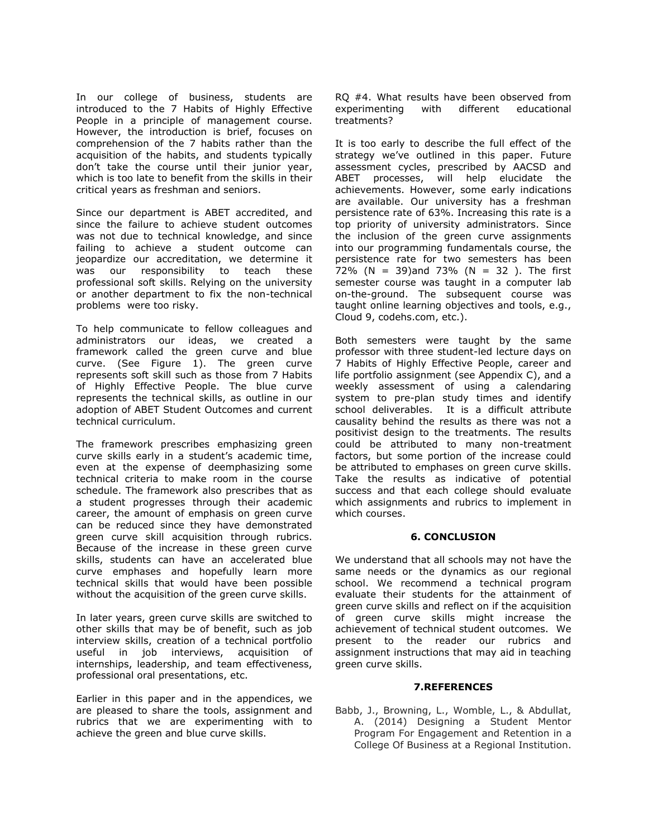In our college of business, students are introduced to the 7 Habits of Highly Effective People in a principle of management course. However, the introduction is brief, focuses on comprehension of the 7 habits rather than the acquisition of the habits, and students typically don't take the course until their junior year, which is too late to benefit from the skills in their critical years as freshman and seniors.

Since our department is ABET accredited, and since the failure to achieve student outcomes was not due to technical knowledge, and since failing to achieve a student outcome can jeopardize our accreditation, we determine it was our responsibility to teach these professional soft skills. Relying on the university or another department to fix the non-technical problems were too risky.

To help communicate to fellow colleagues and administrators our ideas, we created a framework called the green curve and blue curve. (See Figure 1). The green curve represents soft skill such as those from 7 Habits of Highly Effective People. The blue curve represents the technical skills, as outline in our adoption of ABET Student Outcomes and current technical curriculum.

The framework prescribes emphasizing green curve skills early in a student's academic time, even at the expense of deemphasizing some technical criteria to make room in the course schedule. The framework also prescribes that as a student progresses through their academic career, the amount of emphasis on green curve can be reduced since they have demonstrated green curve skill acquisition through rubrics. Because of the increase in these green curve skills, students can have an accelerated blue curve emphases and hopefully learn more technical skills that would have been possible without the acquisition of the green curve skills.

In later years, green curve skills are switched to other skills that may be of benefit, such as job interview skills, creation of a technical portfolio useful in job interviews, acquisition of internships, leadership, and team effectiveness, professional oral presentations, etc.

Earlier in this paper and in the appendices, we are pleased to share the tools, assignment and rubrics that we are experimenting with to achieve the green and blue curve skills.

RQ #4. What results have been observed from experimenting with different educational treatments?

It is too early to describe the full effect of the strategy we've outlined in this paper. Future assessment cycles, prescribed by AACSD and ABET processes, will help elucidate the achievements. However, some early indications are available. Our university has a freshman persistence rate of 63%. Increasing this rate is a top priority of university administrators. Since the inclusion of the green curve assignments into our programming fundamentals course, the persistence rate for two semesters has been 72% (N = 39) and 73% (N = 32). The first semester course was taught in a computer lab on-the-ground. The subsequent course was taught online learning objectives and tools, e.g., Cloud 9, codehs.com, etc.).

Both semesters were taught by the same professor with three student-led lecture days on 7 Habits of Highly Effective People, career and life portfolio assignment (see Appendix C), and a weekly assessment of using a calendaring system to pre-plan study times and identify school deliverables. It is a difficult attribute causality behind the results as there was not a positivist design to the treatments. The results could be attributed to many non-treatment factors, but some portion of the increase could be attributed to emphases on green curve skills. Take the results as indicative of potential success and that each college should evaluate which assignments and rubrics to implement in which courses.

## **6. CONCLUSION**

We understand that all schools may not have the same needs or the dynamics as our regional school. We recommend a technical program evaluate their students for the attainment of green curve skills and reflect on if the acquisition of green curve skills might increase the achievement of technical student outcomes. We present to the reader our rubrics and assignment instructions that may aid in teaching green curve skills.

#### **7.REFERENCES**

Babb, J., Browning, L., Womble, L., & Abdullat, A. (2014) Designing a Student Mentor Program For Engagement and Retention in a College Of Business at a Regional Institution.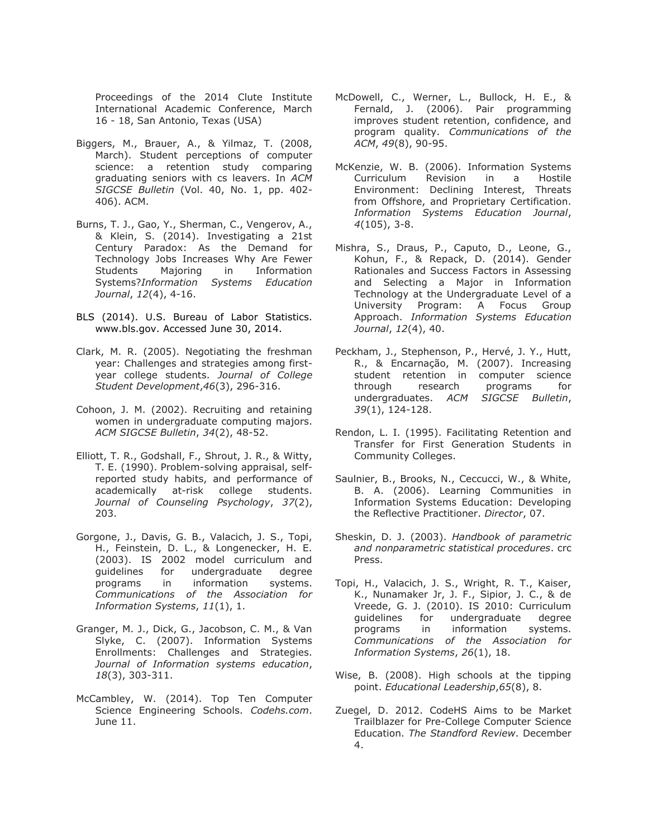Proceedings of the 2014 Clute Institute International Academic Conference, March 16 - 18, San Antonio, Texas (USA)

- Biggers, M., Brauer, A., & Yilmaz, T. (2008, March). Student perceptions of computer science: a retention study comparing graduating seniors with cs leavers. In *ACM SIGCSE Bulletin* (Vol. 40, No. 1, pp. 402- 406). ACM.
- Burns, T. J., Gao, Y., Sherman, C., Vengerov, A., & Klein, S. (2014). Investigating a 21st Century Paradox: As the Demand for Technology Jobs Increases Why Are Fewer Students Majoring in Information Systems?*Information Systems Education Journal*, *12*(4), 4-16.
- BLS (2014). U.S. Bureau of Labor Statistics. www.bls.gov. Accessed June 30, 2014.
- Clark, M. R. (2005). Negotiating the freshman year: Challenges and strategies among firstyear college students. *Journal of College Student Development*,*46*(3), 296-316.
- Cohoon, J. M. (2002). Recruiting and retaining women in undergraduate computing majors. *ACM SIGCSE Bulletin*, *34*(2), 48-52.
- Elliott, T. R., Godshall, F., Shrout, J. R., & Witty, T. E. (1990). Problem-solving appraisal, selfreported study habits, and performance of academically at-risk college students. *Journal of Counseling Psychology*, *37*(2), 203.
- Gorgone, J., Davis, G. B., Valacich, J. S., Topi, H., Feinstein, D. L., & Longenecker, H. E. (2003). IS 2002 model curriculum and guidelines for undergraduate degree programs in information systems. *Communications of the Association for Information Systems*, *11*(1), 1.
- Granger, M. J., Dick, G., Jacobson, C. M., & Van Slyke, C. (2007). Information Systems Enrollments: Challenges and Strategies. *Journal of Information systems education*, *18*(3), 303-311.
- McCambley, W. (2014). Top Ten Computer Science Engineering Schools. *Codehs.com*. June 11.
- McDowell, C., Werner, L., Bullock, H. E., & Fernald, J. (2006). Pair programming improves student retention, confidence, and program quality. *Communications of the ACM*, *49*(8), 90-95.
- McKenzie, W. B. (2006). Information Systems Curriculum Revision in a Hostile Environment: Declining Interest, Threats from Offshore, and Proprietary Certification. *Information Systems Education Journal*, *4*(105), 3-8.
- Mishra, S., Draus, P., Caputo, D., Leone, G., Kohun, F., & Repack, D. (2014). Gender Rationales and Success Factors in Assessing and Selecting a Major in Information Technology at the Undergraduate Level of a University Program: A Focus Group Approach. *Information Systems Education Journal*, *12*(4), 40.
- Peckham, J., Stephenson, P., Hervé, J. Y., Hutt, R., & Encarnação, M. (2007). Increasing student retention in computer science through research programs for undergraduates. *ACM SIGCSE Bulletin*, *39*(1), 124-128.
- Rendon, L. I. (1995). Facilitating Retention and Transfer for First Generation Students in Community Colleges.
- Saulnier, B., Brooks, N., Ceccucci, W., & White, B. A. (2006). Learning Communities in Information Systems Education: Developing the Reflective Practitioner. *Director*, 07.
- Sheskin, D. J. (2003). *Handbook of parametric and nonparametric statistical procedures*. crc Press.
- Topi, H., Valacich, J. S., Wright, R. T., Kaiser, K., Nunamaker Jr, J. F., Sipior, J. C., & de Vreede, G. J. (2010). IS 2010: Curriculum guidelines for undergraduate degree programs in information systems. *Communications of the Association for Information Systems*, *26*(1), 18.
- Wise, B. (2008). High schools at the tipping point. *Educational Leadership*,*65*(8), 8.
- Zuegel, D. 2012. CodeHS Aims to be Market Trailblazer for Pre-College Computer Science Education. *The Standford Review*. December 4.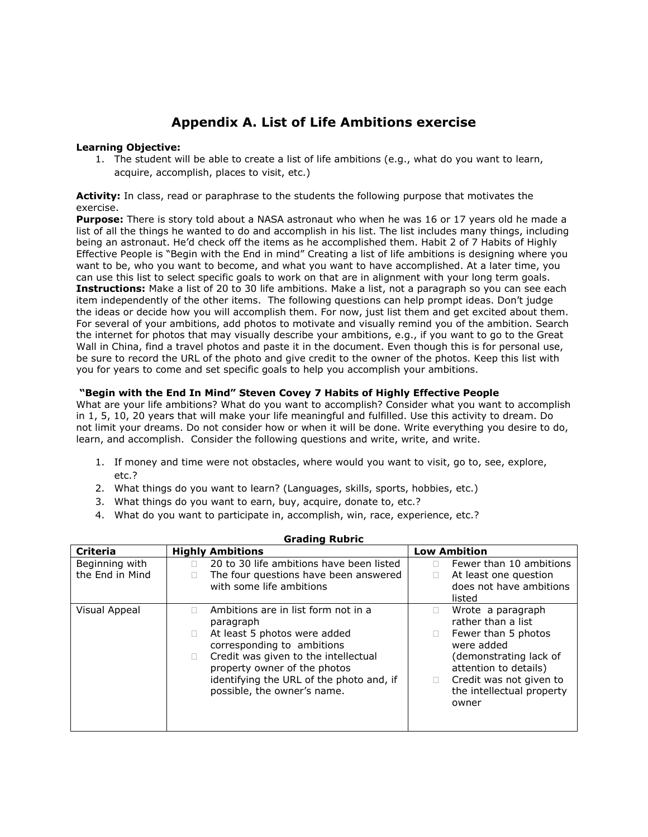## **Appendix A. List of Life Ambitions exercise**

## **Learning Objective:**

1. The student will be able to create a list of life ambitions (e.g., what do you want to learn, acquire, accomplish, places to visit, etc.)

### **Activity:** In class, read or paraphrase to the students the following purpose that motivates the exercise.

**Purpose:** There is story told about a NASA astronaut who when he was 16 or 17 years old he made a list of all the things he wanted to do and accomplish in his list. The list includes many things, including being an astronaut. He'd check off the items as he accomplished them. Habit 2 of 7 Habits of Highly Effective People is "Begin with the End in mind" Creating a list of life ambitions is designing where you want to be, who you want to become, and what you want to have accomplished. At a later time, you can use this list to select specific goals to work on that are in alignment with your long term goals. **Instructions:** Make a list of 20 to 30 life ambitions. Make a list, not a paragraph so you can see each item independently of the other items. The following questions can help prompt ideas. Don't judge the ideas or decide how you will accomplish them. For now, just list them and get excited about them. For several of your ambitions, add photos to motivate and visually remind you of the ambition. Search the internet for photos that may visually describe your ambitions, e.g., if you want to go to the Great Wall in China, find a travel photos and paste it in the document. Even though this is for personal use, be sure to record the URL of the photo and give credit to the owner of the photos. Keep this list with you for years to come and set specific goals to help you accomplish your ambitions.

## **"Begin with the End In Mind" Steven Covey 7 Habits of Highly Effective People**

What are your life ambitions? What do you want to accomplish? Consider what you want to accomplish in 1, 5, 10, 20 years that will make your life meaningful and fulfilled. Use this activity to dream. Do not limit your dreams. Do not consider how or when it will be done. Write everything you desire to do, learn, and accomplish. Consider the following questions and write, write, and write.

- 1. If money and time were not obstacles, where would you want to visit, go to, see, explore, etc.?
- 2. What things do you want to learn? (Languages, skills, sports, hobbies, etc.)
- 3. What things do you want to earn, buy, acquire, donate to, etc.?
- 4. What do you want to participate in, accomplish, win, race, experience, etc.?

| <b>Grauniy Nubily</b>             |                                                                                                                                                                                                                                                                   |                                                                                                                                                                                                  |  |  |  |
|-----------------------------------|-------------------------------------------------------------------------------------------------------------------------------------------------------------------------------------------------------------------------------------------------------------------|--------------------------------------------------------------------------------------------------------------------------------------------------------------------------------------------------|--|--|--|
| <b>Criteria</b>                   | <b>Highly Ambitions</b>                                                                                                                                                                                                                                           | <b>Low Ambition</b>                                                                                                                                                                              |  |  |  |
| Beginning with<br>the End in Mind | 20 to 30 life ambitions have been listed<br>The four questions have been answered<br>with some life ambitions                                                                                                                                                     | Fewer than 10 ambitions<br>At least one question<br>does not have ambitions<br>listed                                                                                                            |  |  |  |
| Visual Appeal                     | Ambitions are in list form not in a<br>paragraph<br>At least 5 photos were added<br>corresponding to ambitions<br>Credit was given to the intellectual<br>property owner of the photos<br>identifying the URL of the photo and, if<br>possible, the owner's name. | Wrote a paragraph<br>rather than a list<br>Fewer than 5 photos<br>were added<br>(demonstrating lack of<br>attention to details)<br>Credit was not given to<br>the intellectual property<br>owner |  |  |  |

#### **Grading Rubric**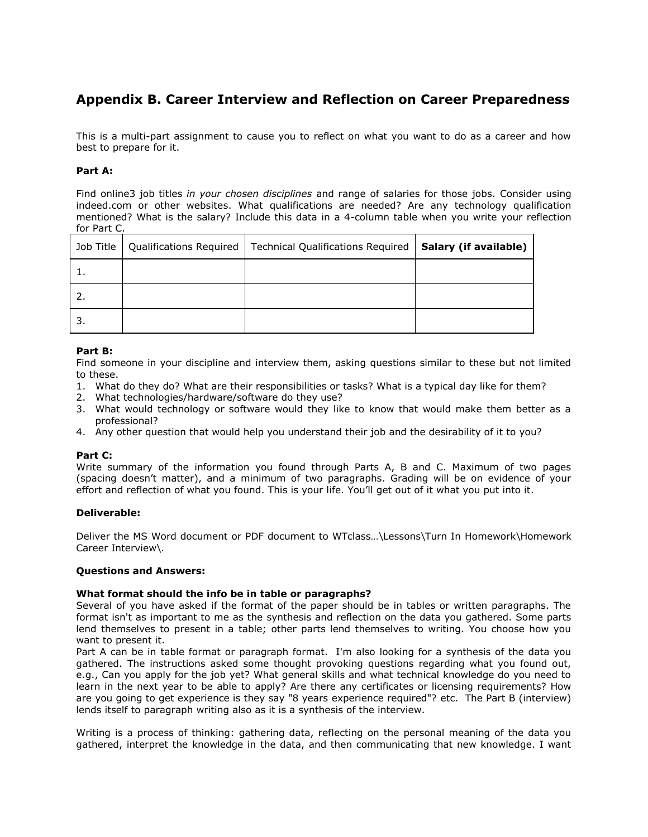## **Appendix B. Career Interview and Reflection on Career Preparedness**

This is a multi-part assignment to cause you to reflect on what you want to do as a career and how best to prepare for it.

## **Part A:**

Find online3 job titles *in your chosen disciplines* and range of salaries for those jobs. Consider using indeed.com or other websites. What qualifications are needed? Are any technology qualification mentioned? What is the salary? Include this data in a 4-column table when you write your reflection for Part C.

| Job Title | Qualifications Required   Technical Qualifications Required | Salary (if available) |
|-----------|-------------------------------------------------------------|-----------------------|
|           |                                                             |                       |
|           |                                                             |                       |
|           |                                                             |                       |

## **Part B:**

Find someone in your discipline and interview them, asking questions similar to these but not limited to these.

- 1. What do they do? What are their responsibilities or tasks? What is a typical day like for them?
- 2. What technologies/hardware/software do they use?
- 3. What would technology or software would they like to know that would make them better as a professional?
- 4. Any other question that would help you understand their job and the desirability of it to you?

## **Part C:**

Write summary of the information you found through Parts A, B and C. Maximum of two pages (spacing doesn't matter), and a minimum of two paragraphs. Grading will be on evidence of your effort and reflection of what you found. This is your life. You'll get out of it what you put into it.

## **Deliverable:**

Deliver the MS Word document or PDF document to WTclass…\Lessons\Turn In Homework\Homework Career Interview\.

## **Questions and Answers:**

## **What format should the info be in table or paragraphs?**

Several of you have asked if the format of the paper should be in tables or written paragraphs. The format isn't as important to me as the synthesis and reflection on the data you gathered. Some parts lend themselves to present in a table; other parts lend themselves to writing. You choose how you want to present it.

Part A can be in table format or paragraph format. I'm also looking for a synthesis of the data you gathered. The instructions asked some thought provoking questions regarding what you found out, e.g., Can you apply for the job yet? What general skills and what technical knowledge do you need to learn in the next year to be able to apply? Are there any certificates or licensing requirements? How are you going to get experience is they say "8 years experience required"? etc. The Part B (interview) lends itself to paragraph writing also as it is a synthesis of the interview.

Writing is a process of thinking: gathering data, reflecting on the personal meaning of the data you gathered, interpret the knowledge in the data, and then communicating that new knowledge. I want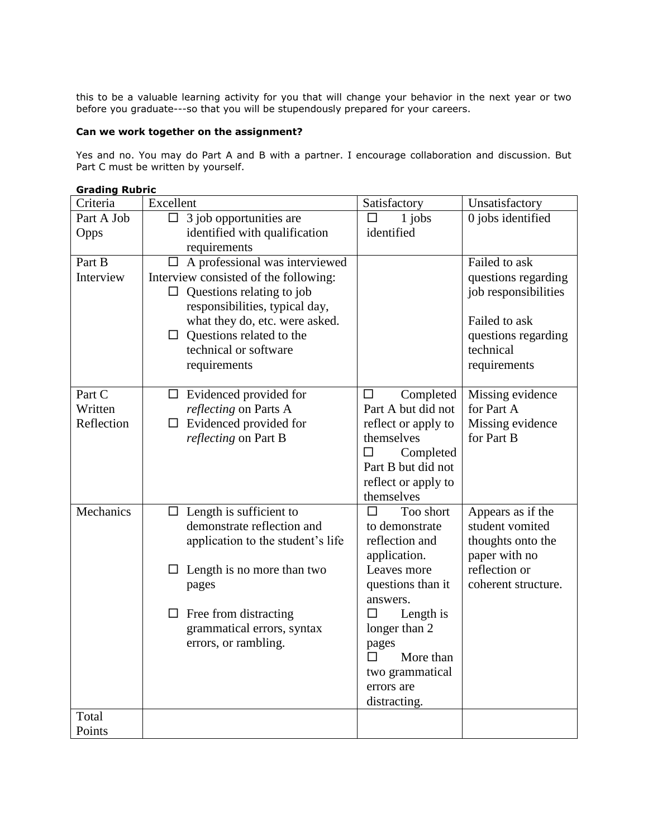this to be a valuable learning activity for you that will change your behavior in the next year or two before you graduate---so that you will be stupendously prepared for your careers.

## **Can we work together on the assignment?**

Yes and no. You may do Part A and B with a partner. I encourage collaboration and discussion. But Part C must be written by yourself.

## **Grading Rubric**

| Criteria   | Excellent                                                  | Satisfactory               | Unsatisfactory       |
|------------|------------------------------------------------------------|----------------------------|----------------------|
| Part A Job | 3 job opportunities are<br>$\Box$                          | 1 jobs<br>ΙI               | 0 jobs identified    |
| Opps       | identified with qualification                              | identified                 |                      |
|            | requirements                                               |                            |                      |
| Part B     | $\Box$ A professional was interviewed                      |                            | Failed to ask        |
| Interview  | Interview consisted of the following:                      |                            | questions regarding  |
|            | Questions relating to job<br>$\Box$                        |                            | job responsibilities |
|            | responsibilities, typical day,                             |                            |                      |
|            | what they do, etc. were asked.                             |                            | Failed to ask        |
|            | $\Box$ Questions related to the                            |                            | questions regarding  |
|            | technical or software                                      |                            | technical            |
|            | requirements                                               |                            | requirements         |
| Part C     | $\Box$ Evidenced provided for                              | Completed<br>$\Box$        | Missing evidence     |
| Written    | reflecting on Parts A                                      | Part A but did not         | for Part A           |
| Reflection | Evidenced provided for<br>$\Box$                           | reflect or apply to        | Missing evidence     |
|            | reflecting on Part B                                       | themselves                 | for Part B           |
|            |                                                            | Completed<br>□             |                      |
|            |                                                            | Part B but did not         |                      |
|            |                                                            | reflect or apply to        |                      |
|            |                                                            | themselves                 |                      |
| Mechanics  | $\Box$ Length is sufficient to                             | Too short<br>$\Box$        | Appears as if the    |
|            | demonstrate reflection and                                 | to demonstrate             | student vomited      |
|            | application to the student's life                          | reflection and             | thoughts onto the    |
|            |                                                            | application.               | paper with no        |
|            | Length is no more than two<br>ப                            | Leaves more                | reflection or        |
|            | pages                                                      | questions than it          | coherent structure.  |
|            |                                                            | answers.<br>□              |                      |
|            | $\Box$ Free from distracting<br>grammatical errors, syntax | Length is<br>longer than 2 |                      |
|            | errors, or rambling.                                       |                            |                      |
|            |                                                            | pages<br>More than<br>П    |                      |
|            |                                                            | two grammatical            |                      |
|            |                                                            | errors are                 |                      |
|            |                                                            | distracting.               |                      |
| Total      |                                                            |                            |                      |
| Points     |                                                            |                            |                      |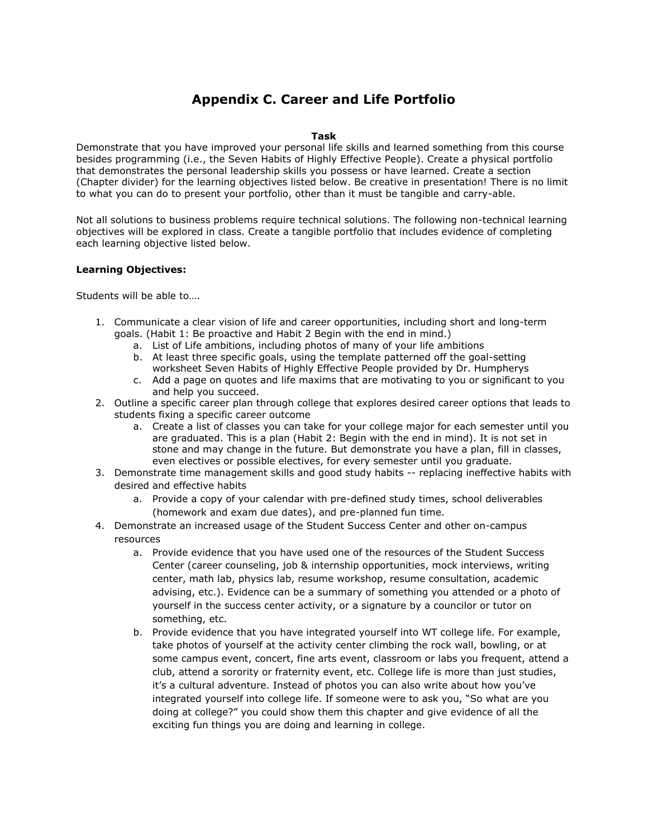## **Appendix C. Career and Life Portfolio**

## **Task**

Demonstrate that you have improved your personal life skills and learned something from this course besides programming (i.e., the Seven Habits of Highly Effective People). Create a physical portfolio that demonstrates the personal leadership skills you possess or have learned. Create a section (Chapter divider) for the learning objectives listed below. Be creative in presentation! There is no limit to what you can do to present your portfolio, other than it must be tangible and carry-able.

Not all solutions to business problems require technical solutions. The following non-technical learning objectives will be explored in class. Create a tangible portfolio that includes evidence of completing each learning objective listed below.

### **Learning Objectives:**

Students will be able to….

- 1. Communicate a clear vision of life and career opportunities, including short and long-term goals. (Habit 1: Be proactive and Habit 2 Begin with the end in mind.)
	- a. List of Life ambitions, including photos of many of your life ambitions
	- b. At least three specific goals, using the template patterned off the goal-setting worksheet Seven Habits of Highly Effective People provided by Dr. Humpherys
	- c. Add a page on quotes and life maxims that are motivating to you or significant to you and help you succeed.
- 2. Outline a specific career plan through college that explores desired career options that leads to students fixing a specific career outcome
	- a. Create a list of classes you can take for your college major for each semester until you are graduated. This is a plan (Habit 2: Begin with the end in mind). It is not set in stone and may change in the future. But demonstrate you have a plan, fill in classes, even electives or possible electives, for every semester until you graduate.
- 3. Demonstrate time management skills and good study habits -- replacing ineffective habits with desired and effective habits
	- a. Provide a copy of your calendar with pre-defined study times, school deliverables (homework and exam due dates), and pre-planned fun time.
- 4. Demonstrate an increased usage of the Student Success Center and other on-campus resources
	- a. Provide evidence that you have used one of the resources of the Student Success Center (career counseling, job & internship opportunities, mock interviews, writing center, math lab, physics lab, resume workshop, resume consultation, academic advising, etc.). Evidence can be a summary of something you attended or a photo of yourself in the success center activity, or a signature by a councilor or tutor on something, etc.
	- b. Provide evidence that you have integrated yourself into WT college life. For example, take photos of yourself at the activity center climbing the rock wall, bowling, or at some campus event, concert, fine arts event, classroom or labs you frequent, attend a club, attend a sorority or fraternity event, etc. College life is more than just studies, it's a cultural adventure. Instead of photos you can also write about how you've integrated yourself into college life. If someone were to ask you, "So what are you doing at college?" you could show them this chapter and give evidence of all the exciting fun things you are doing and learning in college.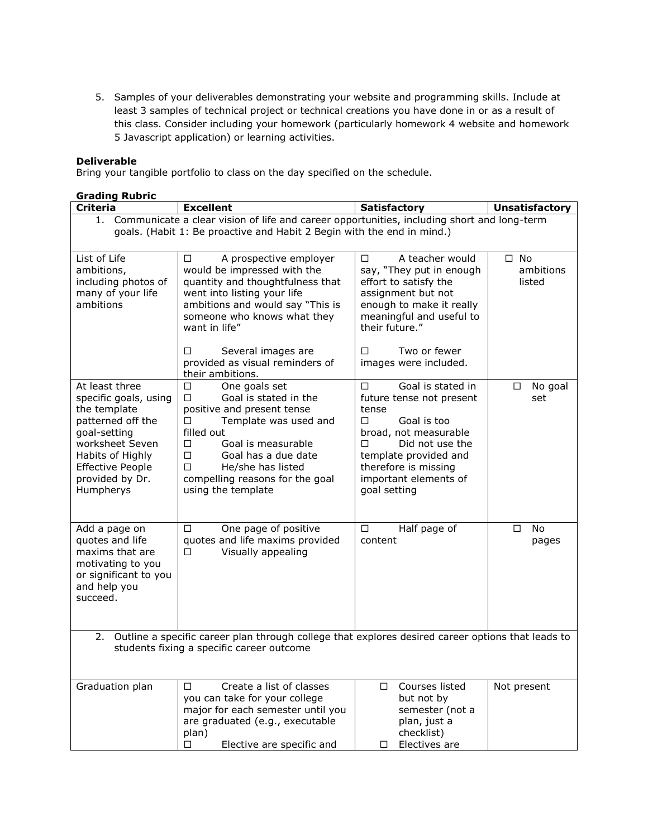5. Samples of your deliverables demonstrating your website and programming skills. Include at least 3 samples of technical project or technical creations you have done in or as a result of this class. Consider including your homework (particularly homework 4 website and homework 5 Javascript application) or learning activities.

## **Deliverable**

Bring your tangible portfolio to class on the day specified on the schedule.

| <b>Grading Rubric</b>                                                                                |                                                                                               |                                                       |                           |  |  |
|------------------------------------------------------------------------------------------------------|-----------------------------------------------------------------------------------------------|-------------------------------------------------------|---------------------------|--|--|
| <b>Criteria</b>                                                                                      | <b>Excellent</b>                                                                              | <b>Satisfactory</b>                                   | <b>Unsatisfactory</b>     |  |  |
|                                                                                                      | 1. Communicate a clear vision of life and career opportunities, including short and long-term |                                                       |                           |  |  |
|                                                                                                      | goals. (Habit 1: Be proactive and Habit 2 Begin with the end in mind.)                        |                                                       |                           |  |  |
|                                                                                                      |                                                                                               |                                                       |                           |  |  |
| List of Life<br>ambitions,                                                                           | A prospective employer<br>□<br>would be impressed with the                                    | A teacher would<br>$\Box$<br>say, "They put in enough | $\square$ No<br>ambitions |  |  |
| including photos of                                                                                  | quantity and thoughtfulness that                                                              | effort to satisfy the                                 | listed                    |  |  |
| many of your life                                                                                    | went into listing your life                                                                   | assignment but not                                    |                           |  |  |
| ambitions                                                                                            | ambitions and would say "This is                                                              | enough to make it really                              |                           |  |  |
|                                                                                                      | someone who knows what they                                                                   | meaningful and useful to                              |                           |  |  |
|                                                                                                      | want in life"                                                                                 | their future."                                        |                           |  |  |
|                                                                                                      | Several images are<br>□                                                                       | Two or fewer<br>п                                     |                           |  |  |
|                                                                                                      | provided as visual reminders of                                                               | images were included.                                 |                           |  |  |
|                                                                                                      | their ambitions.                                                                              | Goal is stated in                                     |                           |  |  |
| At least three<br>specific goals, using                                                              | One goals set<br>□<br>Goal is stated in the<br>П                                              | $\Box$<br>future tense not present                    | No goal<br>□<br>set       |  |  |
| the template                                                                                         | positive and present tense                                                                    | tense                                                 |                           |  |  |
| patterned off the                                                                                    | $\Box$<br>Template was used and                                                               | Goal is too<br>$\Box$                                 |                           |  |  |
| goal-setting                                                                                         | filled out                                                                                    | broad, not measurable                                 |                           |  |  |
| worksheet Seven<br>Habits of Highly                                                                  | Goal is measurable<br>□<br>$\Box$<br>Goal has a due date                                      | Did not use the<br>П.<br>template provided and        |                           |  |  |
| <b>Effective People</b>                                                                              | □<br>He/she has listed                                                                        | therefore is missing                                  |                           |  |  |
| provided by Dr.                                                                                      | compelling reasons for the goal                                                               | important elements of                                 |                           |  |  |
| Humpherys                                                                                            | using the template                                                                            | goal setting                                          |                           |  |  |
|                                                                                                      |                                                                                               |                                                       |                           |  |  |
| Add a page on                                                                                        | One page of positive<br>□                                                                     | Half page of<br>$\Box$                                | No.<br>$\Box$             |  |  |
| quotes and life                                                                                      | quotes and life maxims provided                                                               | content                                               | pages                     |  |  |
| maxims that are                                                                                      | Visually appealing<br>□                                                                       |                                                       |                           |  |  |
| motivating to you                                                                                    |                                                                                               |                                                       |                           |  |  |
| or significant to you<br>and help you                                                                |                                                                                               |                                                       |                           |  |  |
| succeed.                                                                                             |                                                                                               |                                                       |                           |  |  |
|                                                                                                      |                                                                                               |                                                       |                           |  |  |
|                                                                                                      |                                                                                               |                                                       |                           |  |  |
| 2. Outline a specific career plan through college that explores desired career options that leads to |                                                                                               |                                                       |                           |  |  |
| students fixing a specific career outcome                                                            |                                                                                               |                                                       |                           |  |  |
|                                                                                                      |                                                                                               |                                                       |                           |  |  |
| Graduation plan                                                                                      | Create a list of classes<br>п                                                                 | Courses listed<br>$\Box$                              | Not present               |  |  |
|                                                                                                      | you can take for your college                                                                 | but not by                                            |                           |  |  |
|                                                                                                      | major for each semester until you<br>are graduated (e.g., executable                          | semester (not a<br>plan, just a                       |                           |  |  |
|                                                                                                      | plan)                                                                                         | checklist)                                            |                           |  |  |
|                                                                                                      | Elective are specific and<br>□                                                                | Electives are<br>□                                    |                           |  |  |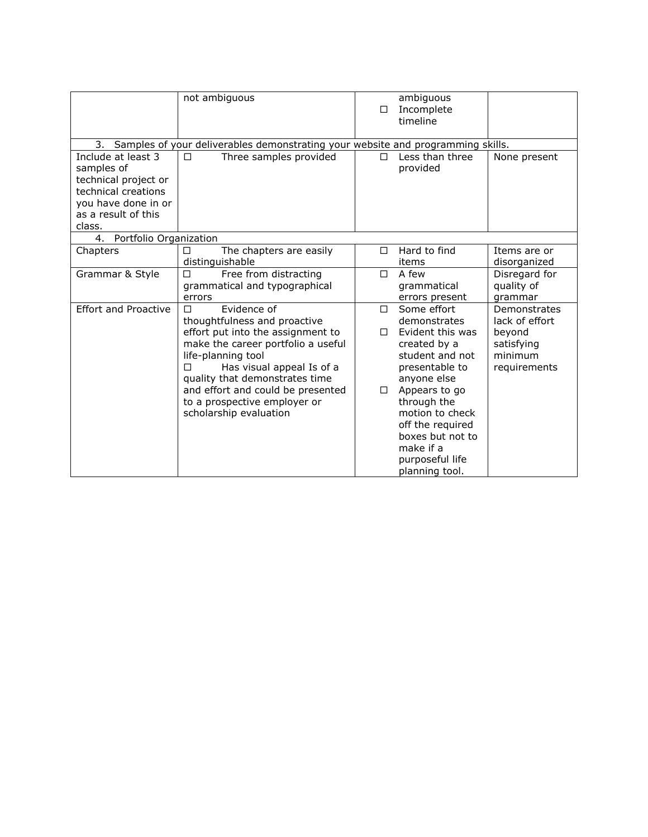|                                                                                                                                         | not ambiguous                                                                                                                                                                                                                                                                                                        | □           | ambiguous<br>Incomplete<br>timeline                                                                                                                                                                                                                              |                                                                                   |
|-----------------------------------------------------------------------------------------------------------------------------------------|----------------------------------------------------------------------------------------------------------------------------------------------------------------------------------------------------------------------------------------------------------------------------------------------------------------------|-------------|------------------------------------------------------------------------------------------------------------------------------------------------------------------------------------------------------------------------------------------------------------------|-----------------------------------------------------------------------------------|
| 3. Samples of your deliverables demonstrating your website and programming skills.                                                      |                                                                                                                                                                                                                                                                                                                      |             |                                                                                                                                                                                                                                                                  |                                                                                   |
| Include at least 3<br>samples of<br>technical project or<br>technical creations<br>you have done in or<br>as a result of this<br>class. | Three samples provided<br>□                                                                                                                                                                                                                                                                                          | п           | Less than three<br>provided                                                                                                                                                                                                                                      | None present                                                                      |
| Portfolio Organization<br>4.                                                                                                            |                                                                                                                                                                                                                                                                                                                      |             |                                                                                                                                                                                                                                                                  |                                                                                   |
| Chapters                                                                                                                                | The chapters are easily<br>П<br>distinguishable                                                                                                                                                                                                                                                                      | П           | Hard to find<br>items                                                                                                                                                                                                                                            | Items are or<br>disorganized                                                      |
| Grammar & Style                                                                                                                         | $\Box$<br>Free from distracting<br>grammatical and typographical<br>errors                                                                                                                                                                                                                                           | $\Box$      | A few<br>grammatical<br>errors present                                                                                                                                                                                                                           | Disregard for<br>quality of<br>grammar                                            |
| <b>Effort and Proactive</b>                                                                                                             | Evidence of<br>П<br>thoughtfulness and proactive<br>effort put into the assignment to<br>make the career portfolio a useful<br>life-planning tool<br>П<br>Has visual appeal Is of a<br>quality that demonstrates time<br>and effort and could be presented<br>to a prospective employer or<br>scholarship evaluation | П<br>п<br>□ | Some effort<br>demonstrates<br>Evident this was<br>created by a<br>student and not<br>presentable to<br>anyone else<br>Appears to go<br>through the<br>motion to check<br>off the required<br>boxes but not to<br>make if a<br>purposeful life<br>planning tool. | Demonstrates<br>lack of effort<br>beyond<br>satisfying<br>minimum<br>requirements |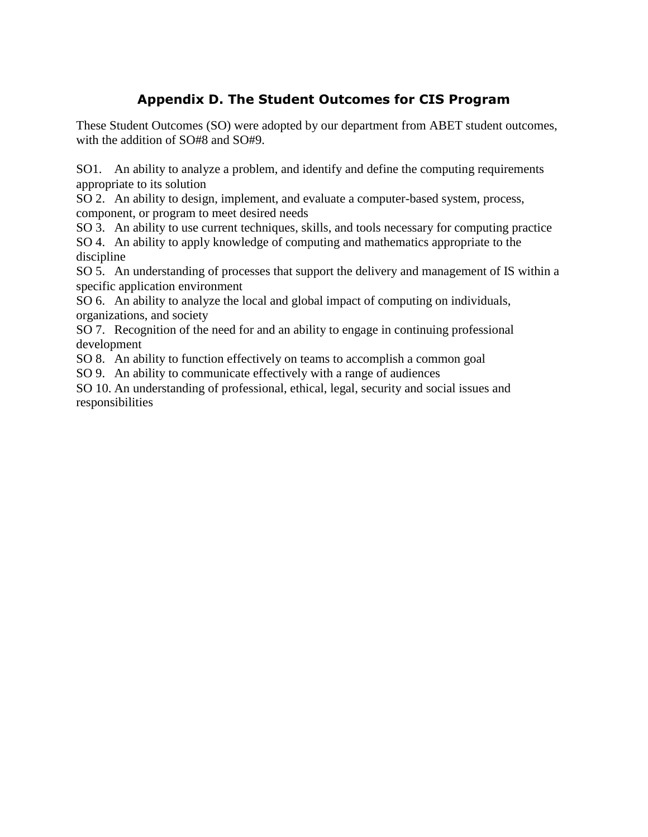## **Appendix D. The Student Outcomes for CIS Program**

These Student Outcomes (SO) were adopted by our department from ABET student outcomes, with the addition of SO#8 and SO#9.

SO1. An ability to analyze a problem, and identify and define the computing requirements appropriate to its solution

SO 2. An ability to design, implement, and evaluate a computer-based system, process, component, or program to meet desired needs

SO 3. An ability to use current techniques, skills, and tools necessary for computing practice SO 4. An ability to apply knowledge of computing and mathematics appropriate to the discipline

SO 5. An understanding of processes that support the delivery and management of IS within a specific application environment

SO 6. An ability to analyze the local and global impact of computing on individuals, organizations, and society

SO 7. Recognition of the need for and an ability to engage in continuing professional development

SO 8. An ability to function effectively on teams to accomplish a common goal

SO 9. An ability to communicate effectively with a range of audiences

SO 10. An understanding of professional, ethical, legal, security and social issues and responsibilities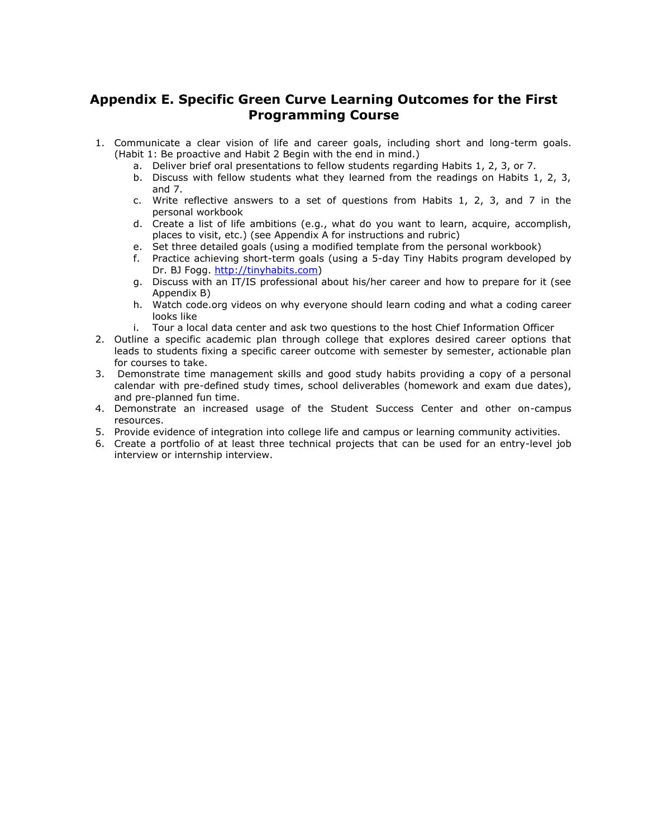## **Appendix E. Specific Green Curve Learning Outcomes for the First Programming Course**

- 1. Communicate a clear vision of life and career goals, including short and long-term goals. (Habit 1: Be proactive and Habit 2 Begin with the end in mind.)
	- a. Deliver brief oral presentations to fellow students regarding Habits 1, 2, 3, or 7.
		- b. Discuss with fellow students what they learned from the readings on Habits 1, 2, 3, and 7.
	- c. Write reflective answers to a set of questions from Habits 1, 2, 3, and 7 in the personal workbook
	- d. Create a list of life ambitions (e.g., what do you want to learn, acquire, accomplish, places to visit, etc.) (see Appendix A for instructions and rubric)
	- e. Set three detailed goals (using a modified template from the personal workbook)
	- f. Practice achieving short-term goals (using a 5-day Tiny Habits program developed by Dr. BJ Fogg. [http://tinyhabits.com\)](http://tinyhabits.com/)
	- g. Discuss with an IT/IS professional about his/her career and how to prepare for it (see Appendix B)
	- h. Watch code.org videos on why everyone should learn coding and what a coding career looks like
	- i. Tour a local data center and ask two questions to the host Chief Information Officer
- 2. Outline a specific academic plan through college that explores desired career options that leads to students fixing a specific career outcome with semester by semester, actionable plan for courses to take.
- 3. Demonstrate time management skills and good study habits providing a copy of a personal calendar with pre-defined study times, school deliverables (homework and exam due dates), and pre-planned fun time.
- 4. Demonstrate an increased usage of the Student Success Center and other on-campus resources.
- 5. Provide evidence of integration into college life and campus or learning community activities.
- 6. Create a portfolio of at least three technical projects that can be used for an entry-level job interview or internship interview.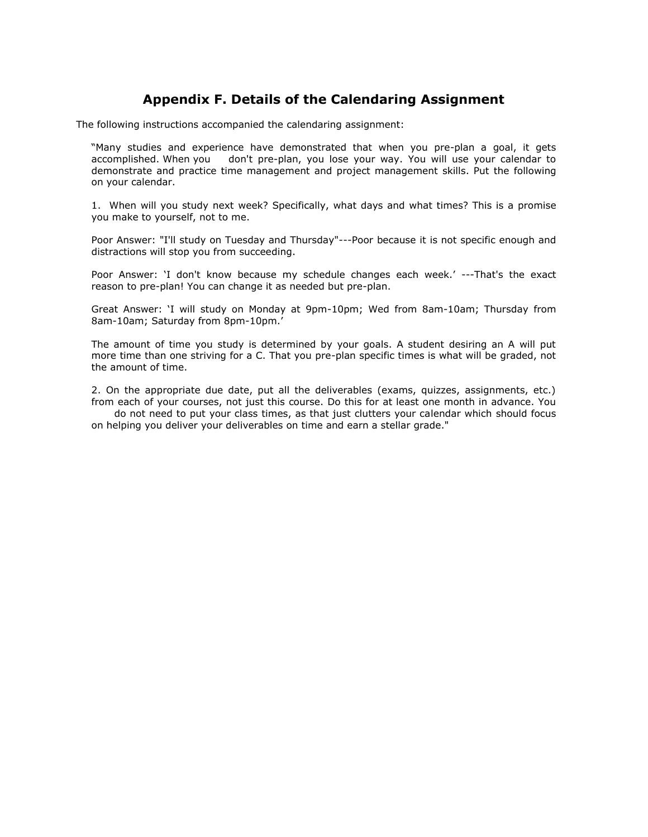## **Appendix F. Details of the Calendaring Assignment**

The following instructions accompanied the calendaring assignment:

"Many studies and experience have demonstrated that when you pre-plan a goal, it gets accomplished. When you don't pre-plan, you lose your way. You will use your calendar to demonstrate and practice time management and project management skills. Put the following on your calendar.

1. When will you study next week? Specifically, what days and what times? This is a promise you make to yourself, not to me.

Poor Answer: "I'll study on Tuesday and Thursday"---Poor because it is not specific enough and distractions will stop you from succeeding.

Poor Answer: 'I don't know because my schedule changes each week.' ---That's the exact reason to pre-plan! You can change it as needed but pre-plan.

Great Answer: 'I will study on Monday at 9pm-10pm; Wed from 8am-10am; Thursday from 8am-10am; Saturday from 8pm-10pm.'

The amount of time you study is determined by your goals. A student desiring an A will put more time than one striving for a C. That you pre-plan specific times is what will be graded, not the amount of time.

2. On the appropriate due date, put all the deliverables (exams, quizzes, assignments, etc.) from each of your courses, not just this course. Do this for at least one month in advance. You do not need to put your class times, as that just clutters your calendar which should focus on helping you deliver your deliverables on time and earn a stellar grade."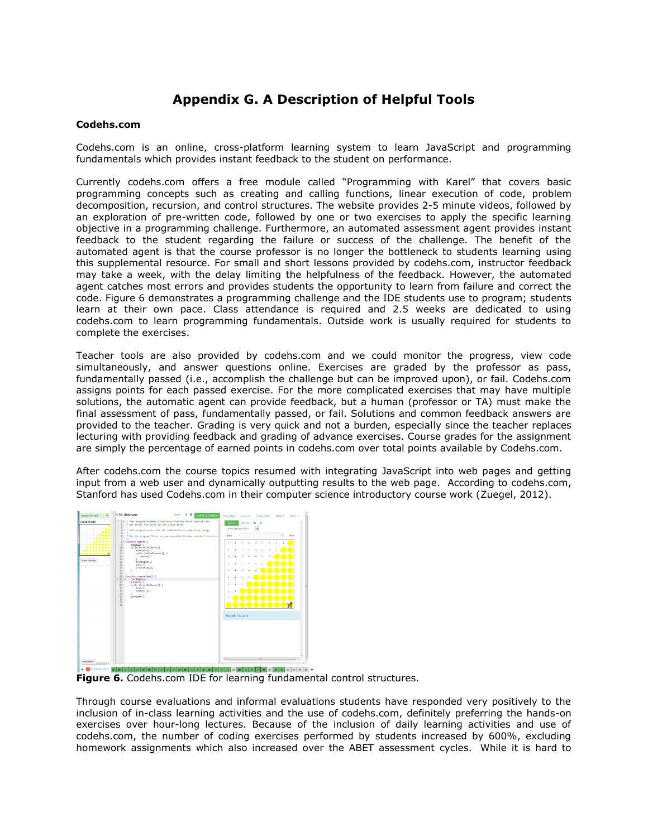## **Appendix G. A Description of Helpful Tools**

### **Codehs.com**

Codehs.com is an online, cross-platform learning system to learn JavaScript and programming fundamentals which provides instant feedback to the student on performance.

Currently codehs.com offers a free module called "Programming with Karel" that covers basic programming concepts such as creating and calling functions, linear execution of code, problem decomposition, recursion, and control structures. The website provides 2-5 minute videos, followed by an exploration of pre-written code, followed by one or two exercises to apply the specific learning objective in a programming challenge. Furthermore, an automated assessment agent provides instant feedback to the student regarding the failure or success of the challenge. The benefit of the automated agent is that the course professor is no longer the bottleneck to students learning using this supplemental resource. For small and short lessons provided by codehs.com, instructor feedback may take a week, with the delay limiting the helpfulness of the feedback. However, the automated agent catches most errors and provides students the opportunity to learn from failure and correct the code. Figure 6 demonstrates a programming challenge and the IDE students use to program; students learn at their own pace. Class attendance is required and 2.5 weeks are dedicated to using codehs.com to learn programming fundamentals. Outside work is usually required for students to complete the exercises.

Teacher tools are also provided by codehs.com and we could monitor the progress, view code simultaneously, and answer questions online. Exercises are graded by the professor as pass, fundamentally passed (i.e., accomplish the challenge but can be improved upon), or fail. Codehs.com assigns points for each passed exercise. For the more complicated exercises that may have multiple solutions, the automatic agent can provide feedback, but a human (professor or TA) must make the final assessment of pass, fundamentally passed, or fail. Solutions and common feedback answers are provided to the teacher. Grading is very quick and not a burden, especially since the teacher replaces lecturing with providing feedback and grading of advance exercises. Course grades for the assignment are simply the percentage of earned points in codehs.com over total points available by Codehs.com.

After codehs.com the course topics resumed with integrating JavaScript into web pages and getting input from a web user and dynamically outputting results to the web page. According to codehs.com, Stanford has used Codehs.com in their computer science introductory course work (Zuegel, 2012).



**Figure 6.** Codehs.com IDE for learning fundamental control structures.

Through course evaluations and informal evaluations students have responded very positively to the inclusion of in-class learning activities and the use of codehs.com, definitely preferring the hands-on exercises over hour-long lectures. Because of the inclusion of daily learning activities and use of codehs.com, the number of coding exercises performed by students increased by 600%, excluding homework assignments which also increased over the ABET assessment cycles. While it is hard to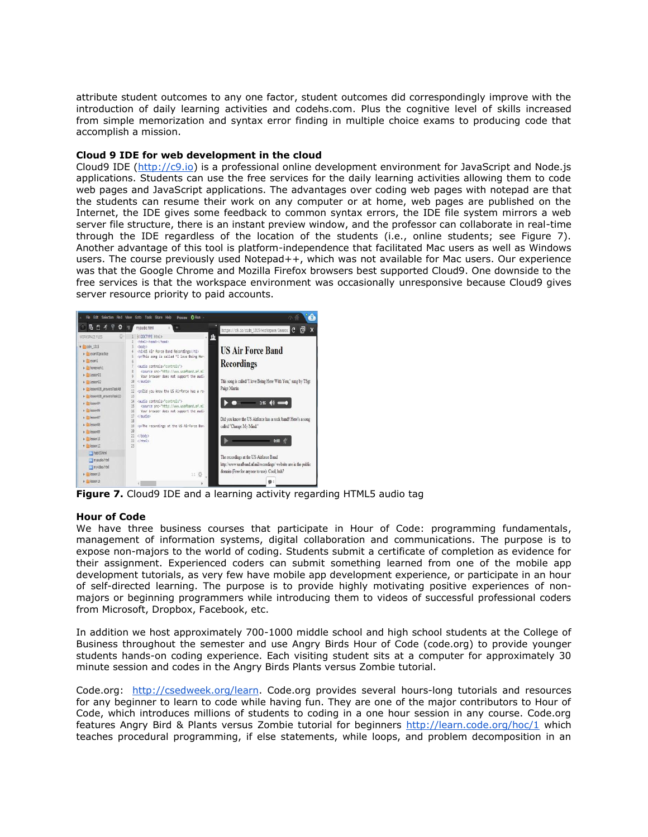attribute student outcomes to any one factor, student outcomes did correspondingly improve with the introduction of daily learning activities and codehs.com. Plus the cognitive level of skills increased from simple memorization and syntax error finding in multiple choice exams to producing code that accomplish a mission.

#### **Cloud 9 IDE for web development in the cloud**

Cloud9 IDE [\(http://c9.io\)](http://c9.io/) is a professional online development environment for JavaScript and Node.js applications. Students can use the free services for the daily learning activities allowing them to code web pages and JavaScript applications. The advantages over coding web pages with notepad are that the students can resume their work on any computer or at home, web pages are published on the Internet, the IDE gives some feedback to common syntax errors, the IDE file system mirrors a web server file structure, there is an instant preview window, and the professor can collaborate in real-time through the IDE regardless of the location of the students (i.e., online students; see Figure 7). Another advantage of this tool is platform-independence that facilitated Mac users as well as Windows users. The course previously used Notepad++, which was not available for Mac users. Our experience was that the Google Chrome and Mozilla Firefox browsers best supported Cloud9. One downside to the free services is that the workspace environment was occasionally unresponsive because Cloud9 gives server resource priority to paid accounts.



**Figure 7.** Cloud9 IDE and a learning activity regarding HTML5 audio tag

## **Hour of Code**

We have three business courses that participate in Hour of Code: programming fundamentals, management of information systems, digital collaboration and communications. The purpose is to expose non-majors to the world of coding. Students submit a certificate of completion as evidence for their assignment. Experienced coders can submit something learned from one of the mobile app development tutorials, as very few have mobile app development experience, or participate in an hour of self-directed learning. The purpose is to provide highly motivating positive experiences of nonmajors or beginning programmers while introducing them to videos of successful professional coders from Microsoft, Dropbox, Facebook, etc.

In addition we host approximately 700-1000 middle school and high school students at the College of Business throughout the semester and use Angry Birds Hour of Code (code.org) to provide younger students hands-on coding experience. Each visiting student sits at a computer for approximately 30 minute session and codes in the Angry Birds Plants versus Zombie tutorial.

Code.org: [http://csedweek.org/learn.](http://csedweek.org/learn) Code.org provides several hours-long tutorials and resources for any beginner to learn to code while having fun. They are one of the major contributors to Hour of Code, which introduces millions of students to coding in a one hour session in any course. Code.org features Angry Bird & Plants versus Zombie tutorial for beginners<http://learn.code.org/hoc/1> which teaches procedural programming, if else statements, while loops, and problem decomposition in an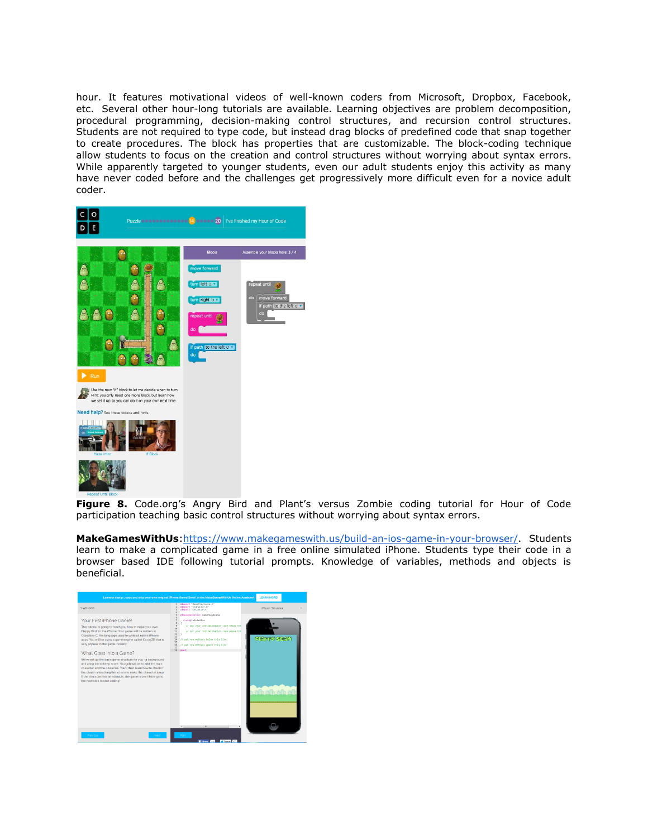hour. It features motivational videos of well-known coders from Microsoft, Dropbox, Facebook, etc. Several other hour-long tutorials are available. Learning objectives are problem decomposition, procedural programming, decision-making control structures, and recursion control structures. Students are not required to type code, but instead drag blocks of predefined code that snap together to create procedures. The block has properties that are customizable. The block-coding technique allow students to focus on the creation and control structures without worrying about syntax errors. While apparently targeted to younger students, even our adult students enjoy this activity as many have never coded before and the challenges get progressively more difficult even for a novice adult coder.



**Figure 8.** Code.org's Angry Bird and Plant's versus Zombie coding tutorial for Hour of Code participation teaching basic control structures without worrying about syntax errors.

**MakeGamesWithUs**[:https://www.makegameswith.us/build-an-ios-game-in-your-browser/.](https://www.makegameswith.us/build-an-ios-game-in-your-browser/) Students learn to make a complicated game in a free online simulated iPhone. Students type their code in a browser based IDE following tutorial prompts. Knowledge of variables, methods and objects is beneficial.